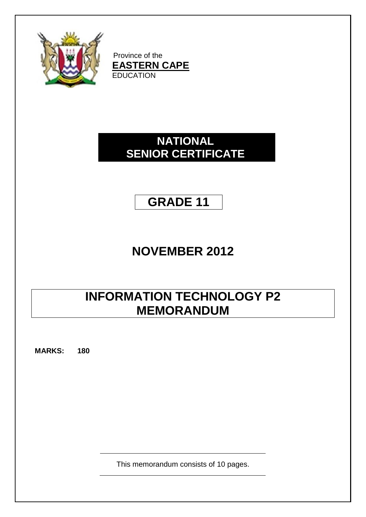

Province of the **EASTERN CAPE** EDUCATION

## **NATIONAL SENIOR CERTIFICATE**

## **GRADE 11**

## **NOVEMBER 2012**

## **INFORMATION TECHNOLOGY P2 MEMORANDUM**

**MARKS: 180**

This memorandum consists of 10 pages.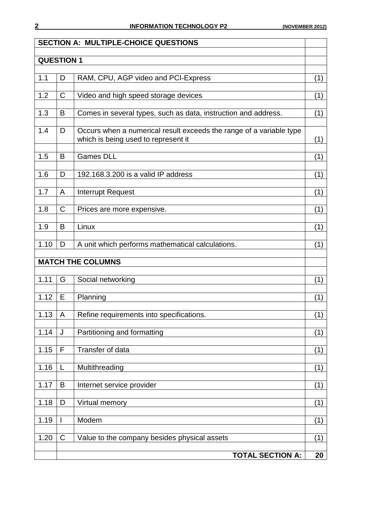|                               |             | <b>SECTION A: MULTIPLE-CHOICE QUESTIONS</b>                                                                |     |  |
|-------------------------------|-------------|------------------------------------------------------------------------------------------------------------|-----|--|
| <b>QUESTION 1</b>             |             |                                                                                                            |     |  |
| 1.1                           |             |                                                                                                            |     |  |
|                               | D           | RAM, CPU, AGP video and PCI-Express                                                                        | (1) |  |
| 1.2                           | $\mathsf C$ | Video and high speed storage devices                                                                       | (1) |  |
| 1.3                           | B           | Comes in several types, such as data, instruction and address.                                             | (1) |  |
| 1.4                           | D           | Occurs when a numerical result exceeds the range of a variable type<br>which is being used to represent it | (1) |  |
| 1.5                           | B           | <b>Games DLL</b>                                                                                           | (1) |  |
| 1.6                           | D           | 192.168.3.200 is a valid IP address                                                                        | (1) |  |
| 1.7                           | A           | Interrupt Request                                                                                          | (1) |  |
| 1.8                           | $\mathsf C$ | Prices are more expensive.                                                                                 | (1) |  |
| 1.9                           | B           | Linux                                                                                                      | (1) |  |
| 1.10                          | D           | A unit which performs mathematical calculations.                                                           | (1) |  |
|                               |             | <b>MATCH THE COLUMNS</b>                                                                                   |     |  |
| 1.11                          | G           | Social networking                                                                                          | (1) |  |
| 1.12                          | E           | Planning                                                                                                   | (1) |  |
| 1.13                          | A           | Refine requirements into specifications.                                                                   | (1) |  |
| 1.14                          | J           | Partitioning and formatting                                                                                | (1) |  |
| 1.15                          | F           | Transfer of data                                                                                           | (1) |  |
| 1.16                          | L           | Multithreading                                                                                             | (1) |  |
| 1.17                          | B           | Internet service provider                                                                                  | (1) |  |
| 1.18                          | D           | Virtual memory                                                                                             | (1) |  |
| 1.19                          | I           | Modem                                                                                                      | (1) |  |
| 1.20                          | $\mathsf C$ | Value to the company besides physical assets                                                               | (1) |  |
| <b>TOTAL SECTION A:</b><br>20 |             |                                                                                                            |     |  |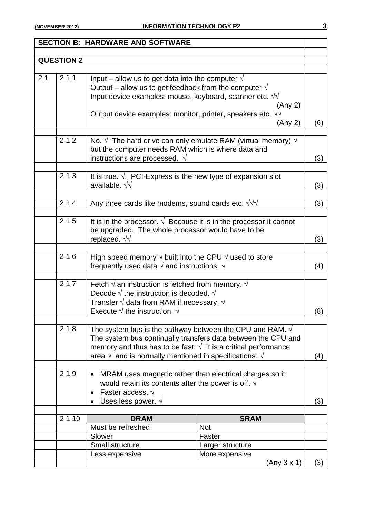|                  |                   | <b>SECTION B: HARDWARE AND SOFTWARE</b>                                        |                                                               |     |
|------------------|-------------------|--------------------------------------------------------------------------------|---------------------------------------------------------------|-----|
|                  |                   |                                                                                |                                                               |     |
|                  | <b>QUESTION 2</b> |                                                                                |                                                               |     |
|                  |                   |                                                                                |                                                               |     |
| $\overline{2.1}$ | 2.1.1             | Input – allow us to get data into the computer $\sqrt{ }$                      |                                                               |     |
|                  |                   | Output – allow us to get feedback from the computer $\sqrt{ }$                 |                                                               |     |
|                  |                   | Input device examples: mouse, keyboard, scanner etc. $\sqrt{v}$                |                                                               |     |
|                  |                   |                                                                                | (Any 2)                                                       |     |
|                  |                   | Output device examples: monitor, printer, speakers etc. $\sqrt{v}$             |                                                               |     |
|                  |                   |                                                                                | (Any 2)                                                       | (6) |
|                  |                   |                                                                                |                                                               |     |
|                  | 2.1.2             | No. $\sqrt{ }$ The hard drive can only emulate RAM (virtual memory) $\sqrt{ }$ |                                                               |     |
|                  |                   | but the computer needs RAM which is where data and                             |                                                               |     |
|                  |                   | instructions are processed. $\sqrt{ }$                                         |                                                               | (3) |
|                  |                   |                                                                                |                                                               |     |
|                  | 2.1.3             | It is true. $\sqrt{ }$ . PCI-Express is the new type of expansion slot         |                                                               |     |
|                  |                   | available. $\sqrt{v}$                                                          |                                                               | (3) |
|                  | 2.1.4             | Any three cards like modems, sound cards etc. $\sqrt{v}$                       |                                                               | (3) |
|                  |                   |                                                                                |                                                               |     |
|                  | 2.1.5             | It is in the processor. $\sqrt{ }$ Because it is in the processor it cannot    |                                                               |     |
|                  |                   | be upgraded. The whole processor would have to be                              |                                                               |     |
|                  |                   | replaced. $\sqrt{v}$                                                           |                                                               | (3) |
|                  |                   |                                                                                |                                                               |     |
|                  | 2.1.6             | High speed memory $\sqrt{}$ built into the CPU $\sqrt{}$ used to store         |                                                               |     |
|                  |                   | frequently used data $\sqrt{ }$ and instructions. $\sqrt{ }$                   |                                                               | (4) |
|                  |                   |                                                                                |                                                               |     |
|                  | 2.1.7             | Fetch $\sqrt{ }$ an instruction is fetched from memory. $\sqrt{ }$             |                                                               |     |
|                  |                   | Decode $\sqrt{}$ the instruction is decoded. $\sqrt{}$                         |                                                               |     |
|                  |                   | Transfer $\sqrt{ }$ data from RAM if necessary. $\sqrt{ }$                     |                                                               |     |
|                  |                   | Execute $\sqrt{}$ the instruction. $\sqrt{}$                                   |                                                               | (8) |
|                  |                   |                                                                                |                                                               |     |
|                  | 2.1.8             | The system bus is the pathway between the CPU and RAM. $\sqrt{ }$              |                                                               |     |
|                  |                   |                                                                                | The system bus continually transfers data between the CPU and |     |
|                  |                   | memory and thus has to be fast. $\sqrt{ }$ It is a critical performance        |                                                               |     |
|                  |                   | area $\sqrt{ }$ and is normally mentioned in specifications. $\sqrt{ }$        |                                                               | (4) |
|                  | 2.1.9             |                                                                                |                                                               |     |
|                  |                   | MRAM uses magnetic rather than electrical charges so it                        |                                                               |     |
|                  |                   | would retain its contents after the power is off. $\sqrt{ }$                   |                                                               |     |
|                  |                   | Faster access. $\sqrt{ }$                                                      |                                                               |     |
|                  |                   | Uses less power. $\sqrt{ }$                                                    |                                                               | (3) |
|                  | 2.1.10            | <b>DRAM</b>                                                                    | <b>SRAM</b>                                                   |     |
|                  |                   | Must be refreshed                                                              | <b>Not</b>                                                    |     |
|                  |                   | Slower                                                                         | Faster                                                        |     |
|                  |                   | Small structure                                                                | Larger structure                                              |     |
|                  |                   | Less expensive                                                                 | More expensive                                                |     |

 $(Any 3 x 1)$  (3)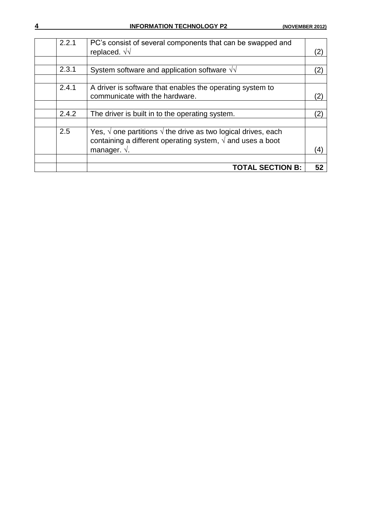| 2.2.1 | PC's consist of several components that can be swapped and<br>replaced. $\sqrt{\sqrt{ }}$                                                              | (2) |
|-------|--------------------------------------------------------------------------------------------------------------------------------------------------------|-----|
|       |                                                                                                                                                        |     |
| 2.3.1 | System software and application software $\sqrt{d}$                                                                                                    | (2) |
|       |                                                                                                                                                        |     |
| 2.4.1 | A driver is software that enables the operating system to<br>communicate with the hardware.                                                            |     |
|       |                                                                                                                                                        |     |
| 2.4.2 | The driver is built in to the operating system.                                                                                                        | (2) |
|       |                                                                                                                                                        |     |
| 2.5   | Yes, $\sqrt{ }$ one partitions $\sqrt{ }$ the drive as two logical drives, each<br>containing a different operating system, $\sqrt{ }$ and uses a boot |     |
|       | manager. $\sqrt{ }$ .                                                                                                                                  | (4) |
|       |                                                                                                                                                        |     |
|       | <b>TOTAL SECTION B:</b>                                                                                                                                | 52  |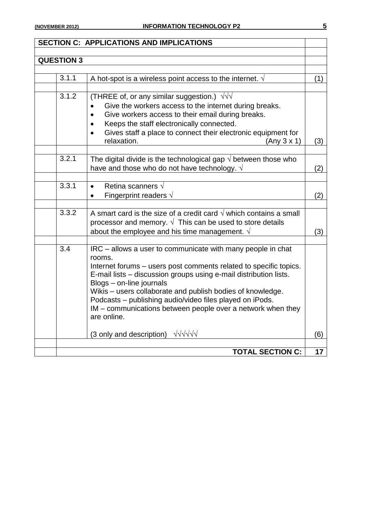|                   | <b>SECTION C: APPLICATIONS AND IMPLICATIONS</b>                                                                                                                                                                                                                                                                                                                                                                                                     |     |
|-------------------|-----------------------------------------------------------------------------------------------------------------------------------------------------------------------------------------------------------------------------------------------------------------------------------------------------------------------------------------------------------------------------------------------------------------------------------------------------|-----|
| <b>QUESTION 3</b> |                                                                                                                                                                                                                                                                                                                                                                                                                                                     |     |
|                   |                                                                                                                                                                                                                                                                                                                                                                                                                                                     |     |
| 3.1.1             | A hot-spot is a wireless point access to the internet. $\sqrt{ }$                                                                                                                                                                                                                                                                                                                                                                                   | (1) |
| 3.1.2             | (THREE of, or any similar suggestion.) $\sqrt{v}$<br>Give the workers access to the internet during breaks.<br>Give workers access to their email during breaks.<br>Keeps the staff electronically connected.<br>Gives staff a place to connect their electronic equipment for<br>$\bullet$<br>relaxation.<br>(Any 3 x 1)                                                                                                                           | (3) |
| 3.2.1             | The digital divide is the technological gap $\sqrt{ }$ between those who<br>have and those who do not have technology. $\sqrt{ }$                                                                                                                                                                                                                                                                                                                   | (2) |
| 3.3.1             | Retina scanners $\sqrt{ }$<br>Fingerprint readers $\sqrt{ }$                                                                                                                                                                                                                                                                                                                                                                                        | (2) |
| 3.3.2             | A smart card is the size of a credit card $\sqrt{ }$ which contains a small<br>processor and memory. $\sqrt{ }$ This can be used to store details<br>about the employee and his time management. $\sqrt{ }$                                                                                                                                                                                                                                         | (3) |
| 3.4               | IRC - allows a user to communicate with many people in chat<br>rooms.<br>Internet forums – users post comments related to specific topics.<br>E-mail lists - discussion groups using e-mail distribution lists.<br>Blogs - on-line journals<br>Wikis – users collaborate and publish bodies of knowledge.<br>Podcasts - publishing audio/video files played on iPods.<br>IM - communications between people over a network when they<br>are online. |     |
|                   | VVVVV<br>(3 only and description)                                                                                                                                                                                                                                                                                                                                                                                                                   | (6) |
|                   | <b>TOTAL SECTION C:</b>                                                                                                                                                                                                                                                                                                                                                                                                                             | 17  |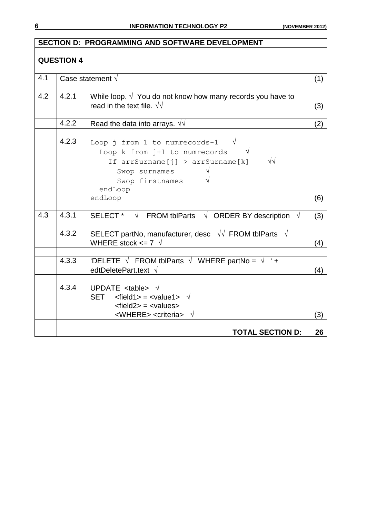|     |                   | <b>SECTION D: PROGRAMMING AND SOFTWARE DEVELOPMENT</b>                                                     |     |  |
|-----|-------------------|------------------------------------------------------------------------------------------------------------|-----|--|
|     | <b>QUESTION 4</b> |                                                                                                            |     |  |
|     |                   |                                                                                                            |     |  |
| 4.1 |                   | Case statement $\sqrt{}$                                                                                   | (1) |  |
|     |                   |                                                                                                            |     |  |
| 4.2 | 4.2.1             | While loop. $\sqrt{ }$ You do not know how many records you have to                                        |     |  |
|     |                   | read in the text file. $\sqrt{v}$                                                                          | (3) |  |
|     | 4.2.2             | Read the data into arrays. $\sqrt{v}$                                                                      | (2) |  |
|     |                   |                                                                                                            |     |  |
|     | 4.2.3             | $\sqrt{ }$<br>Loop j from 1 to numrecords-1                                                                |     |  |
|     |                   | Loop k from j+1 to numrecords<br>$\sqrt{ }$                                                                |     |  |
|     |                   | $\sqrt{\sqrt{2}}$<br>If arrSurname[j] > arrSurname[k]                                                      |     |  |
|     |                   | Swop surnames                                                                                              |     |  |
|     |                   | Swop firstnames                                                                                            |     |  |
|     |                   | endLoop<br>endLoop                                                                                         | (6) |  |
|     |                   |                                                                                                            |     |  |
| 4.3 | 4.3.1             | SELECT * $\sqrt{\phantom{a}}$ FROM tblParts $\sqrt{\phantom{a}}$ ORDER BY description $\sqrt{\phantom{a}}$ | (3) |  |
|     |                   |                                                                                                            |     |  |
|     | 4.3.2             | SELECT partNo, manufacturer, desc $\sqrt{v}$ FROM tblParts $\sqrt{v}$<br>WHERE stock $\leq$ 7 $\sqrt{ }$   |     |  |
|     |                   |                                                                                                            | (4) |  |
|     | 4.3.3             | 'DELETE $\sqrt{\phantom{a}$ FROM tblParts $\sqrt{\phantom{a} }$ WHERE partNo = $\sqrt{\phantom{a} }$ ' +   |     |  |
|     |                   | edtDeletePart.text $\sqrt{}$                                                                               | (4) |  |
|     | 4.3.4             |                                                                                                            |     |  |
|     |                   | UPDATE $ltable > \sqrt{ }$<br>SET $\leq$ field1> = $\leq$ value1> $\sqrt{ }$                               |     |  |
|     |                   | $\leq$ field2> = $\leq$ values>                                                                            |     |  |
|     |                   | <where> <criteria> √</criteria></where>                                                                    | (3) |  |
|     |                   |                                                                                                            |     |  |
|     |                   | <b>TOTAL SECTION D:</b>                                                                                    | 26  |  |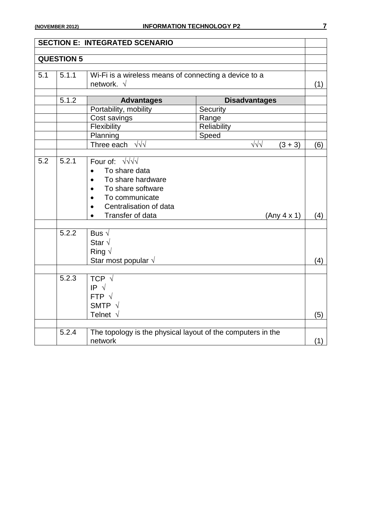|     |                   | <b>SECTION E: INTEGRATED SCENARIO</b>                                        |             |                         |     |
|-----|-------------------|------------------------------------------------------------------------------|-------------|-------------------------|-----|
|     |                   |                                                                              |             |                         |     |
|     | <b>QUESTION 5</b> |                                                                              |             |                         |     |
|     |                   |                                                                              |             |                         |     |
| 5.1 | 5.1.1             | Wi-Fi is a wireless means of connecting a device to a<br>network. $\sqrt{ }$ |             |                         |     |
|     |                   |                                                                              |             |                         | (1) |
|     | 5.1.2             | <b>Advantages</b>                                                            |             | <b>Disadvantages</b>    |     |
|     |                   | Portability, mobility                                                        | Security    |                         |     |
|     |                   | Cost savings                                                                 | Range       |                         |     |
|     |                   | Flexibility                                                                  | Reliability |                         |     |
|     |                   | Planning                                                                     | Speed       |                         |     |
|     |                   | Three each $\sqrt{v}$                                                        |             | $\sqrt{2}$<br>$(3 + 3)$ | (6) |
|     |                   |                                                                              |             |                         |     |
| 5.2 | 5.2.1             | Four of: $\sqrt{1/\sqrt{1}}$                                                 |             |                         |     |
|     |                   | To share data<br>$\bullet$                                                   |             |                         |     |
|     |                   | To share hardware<br>$\bullet$                                               |             |                         |     |
|     |                   | To share software                                                            |             |                         |     |
|     |                   | To communicate                                                               |             |                         |     |
|     |                   | Centralisation of data                                                       |             |                         |     |
|     |                   | Transfer of data                                                             |             | (Any 4 x 1)             | (4) |
|     |                   |                                                                              |             |                         |     |
|     | 5.2.2             | Bus $\sqrt{ }$                                                               |             |                         |     |
|     |                   | Star $\sqrt{ }$                                                              |             |                         |     |
|     |                   | Ring $\sqrt$                                                                 |             |                         |     |
|     |                   | Star most popular $\sqrt{}$                                                  |             |                         | (4) |
|     |                   |                                                                              |             |                         |     |
|     | 5.2.3             | TCP $\sqrt{ }$                                                               |             |                         |     |
|     |                   | IP $\sqrt{ }$                                                                |             |                         |     |
|     |                   | FTP $\sqrt{ }$                                                               |             |                         |     |
|     |                   | SMTP $\sqrt{}$                                                               |             |                         |     |
|     |                   | Telnet $\sqrt{ }$                                                            |             |                         | (5) |
|     |                   |                                                                              |             |                         |     |
|     | 5.2.4             | The topology is the physical layout of the computers in the                  |             |                         |     |
|     |                   | network                                                                      |             |                         | (1) |
|     |                   |                                                                              |             |                         |     |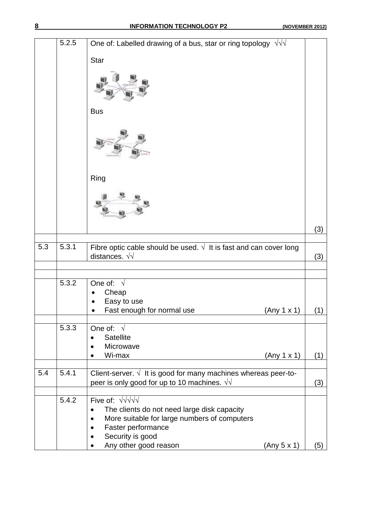|     | 5.2.5 | One of: Labelled drawing of a bus, star or ring topology $\sqrt{v}$                                                                                                                                                   |     |
|-----|-------|-----------------------------------------------------------------------------------------------------------------------------------------------------------------------------------------------------------------------|-----|
|     |       | <b>Star</b>                                                                                                                                                                                                           |     |
|     |       |                                                                                                                                                                                                                       |     |
|     |       | <b>Bus</b>                                                                                                                                                                                                            |     |
|     |       |                                                                                                                                                                                                                       |     |
|     |       | Ring                                                                                                                                                                                                                  |     |
|     |       |                                                                                                                                                                                                                       |     |
|     |       |                                                                                                                                                                                                                       |     |
|     |       |                                                                                                                                                                                                                       | (3) |
|     |       |                                                                                                                                                                                                                       |     |
| 5.3 | 5.3.1 | Fibre optic cable should be used. $\sqrt{ }$ It is fast and can cover long<br>distances. $\sqrt{\sqrt{}}$                                                                                                             | (3) |
|     |       |                                                                                                                                                                                                                       |     |
|     | 5.3.2 | One of: $\sqrt{ }$<br>Cheap<br>Easy to use                                                                                                                                                                            |     |
|     |       | Fast enough for normal use<br>(Any 1 x 1)                                                                                                                                                                             | (1) |
|     | 5.3.3 | One of: $\sqrt{ }$<br><b>Satellite</b><br>Microwave                                                                                                                                                                   |     |
|     |       | Wi-max<br>(Any 1 x 1)                                                                                                                                                                                                 | (1) |
| 5.4 | 5.4.1 | Client-server. $\sqrt{ }$ It is good for many machines whereas peer-to-<br>peer is only good for up to 10 machines. $\sqrt{v}$                                                                                        | (3) |
|     | 5.4.2 | Five of: $\sqrt{\sqrt[3]{\sqrt{1}}}$<br>The clients do not need large disk capacity<br>More suitable for large numbers of computers<br>Faster performance<br>Security is good<br>Any other good reason<br>(Any 5 x 1) | (5) |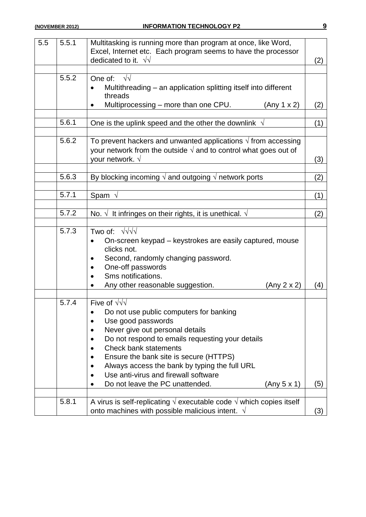| 5.5 | 5.5.1 | Multitasking is running more than program at once, like Word,<br>Excel, Internet etc. Each program seems to have the processor<br>dedicated to it. $\sqrt{v}$                                                                                                                                                                                                                                   | (2) |
|-----|-------|-------------------------------------------------------------------------------------------------------------------------------------------------------------------------------------------------------------------------------------------------------------------------------------------------------------------------------------------------------------------------------------------------|-----|
|     | 5.5.2 | One of:<br>$\sqrt{2}$<br>Multithreading – an application splitting itself into different<br>threads<br>Multiprocessing – more than one CPU.<br>(Any 1 x 2)                                                                                                                                                                                                                                      | (2) |
|     |       |                                                                                                                                                                                                                                                                                                                                                                                                 |     |
|     | 5.6.1 | One is the uplink speed and the other the downlink $\sqrt{ }$                                                                                                                                                                                                                                                                                                                                   | (1) |
|     | 5.6.2 | To prevent hackers and unwanted applications $\sqrt{ }$ from accessing<br>your network from the outside $\sqrt{ }$ and to control what goes out of<br>your network. $\sqrt{ }$                                                                                                                                                                                                                  | (3) |
|     | 5.6.3 | By blocking incoming $\sqrt{ }$ and outgoing $\sqrt{ }$ network ports                                                                                                                                                                                                                                                                                                                           | (2) |
|     | 5.7.1 | Spam $\sqrt{ }$                                                                                                                                                                                                                                                                                                                                                                                 | (1) |
|     | 5.7.2 | No. $\sqrt{ }$ It infringes on their rights, it is unethical. $\sqrt{ }$                                                                                                                                                                                                                                                                                                                        | (2) |
|     | 5.7.3 | Two of: $\sqrt{v}$<br>On-screen keypad – keystrokes are easily captured, mouse<br>clicks not.<br>Second, randomly changing password.<br>One-off passwords<br>Sms notifications.<br>Any other reasonable suggestion.<br>(Any 2 x 2)                                                                                                                                                              | (4) |
|     | 5.7.4 | Five of $\sqrt{v}$<br>Do not use public computers for banking<br>Use good passwords<br>Never give out personal details<br>Do not respond to emails requesting your details<br><b>Check bank statements</b><br>Ensure the bank site is secure (HTTPS)<br>Always access the bank by typing the full URL<br>Use anti-virus and firewall software<br>Do not leave the PC unattended.<br>(Any 5 x 1) | (5) |
|     | 5.8.1 | A virus is self-replicating $\sqrt{ }$ executable code $\sqrt{ }$ which copies itself<br>onto machines with possible malicious intent. $\sqrt{ }$                                                                                                                                                                                                                                               | (3) |